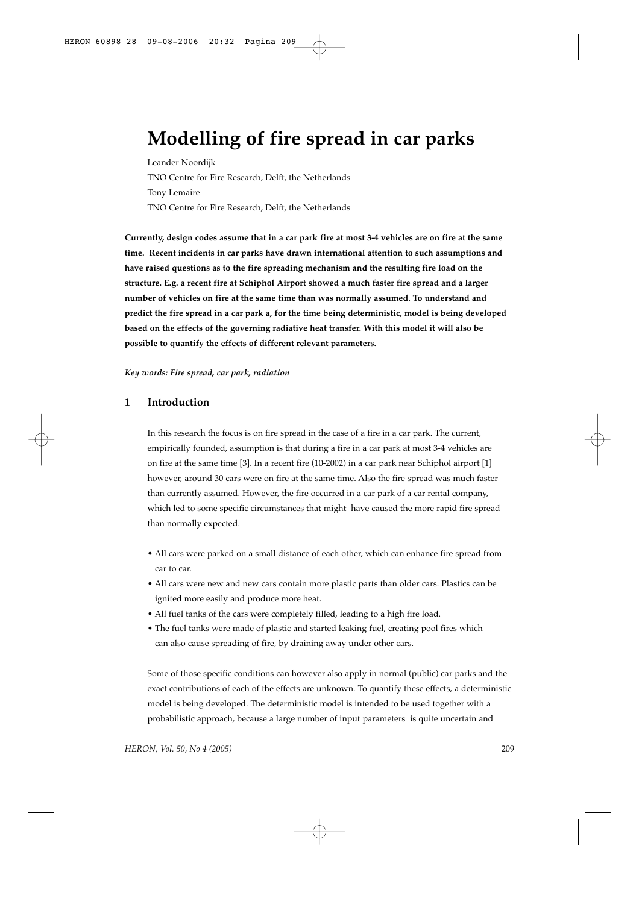# **Modelling of fire spread in car parks**

Leander Noordijk TNO Centre for Fire Research, Delft, the Netherlands Tony Lemaire TNO Centre for Fire Research, Delft, the Netherlands

**Currently, design codes assume that in a car park fire at most 3-4 vehicles are on fire at the same time. Recent incidents in car parks have drawn international attention to such assumptions and have raised questions as to the fire spreading mechanism and the resulting fire load on the structure. E.g. a recent fire at Schiphol Airport showed a much faster fire spread and a larger number of vehicles on fire at the same time than was normally assumed. To understand and predict the fire spread in a car park a, for the time being deterministic, model is being developed based on the effects of the governing radiative heat transfer. With this model it will also be possible to quantify the effects of different relevant parameters.** 

#### *Key words: Fire spread, car park, radiation*

## **1 Introduction**

In this research the focus is on fire spread in the case of a fire in a car park. The current, empirically founded, assumption is that during a fire in a car park at most 3-4 vehicles are on fire at the same time [3]. In a recent fire (10-2002) in a car park near Schiphol airport [1] however, around 30 cars were on fire at the same time. Also the fire spread was much faster than currently assumed. However, the fire occurred in a car park of a car rental company, which led to some specific circumstances that might have caused the more rapid fire spread than normally expected.

- All cars were parked on a small distance of each other, which can enhance fire spread from car to car.
- All cars were new and new cars contain more plastic parts than older cars. Plastics can be ignited more easily and produce more heat.
- All fuel tanks of the cars were completely filled, leading to a high fire load.
- The fuel tanks were made of plastic and started leaking fuel, creating pool fires which can also cause spreading of fire, by draining away under other cars.

Some of those specific conditions can however also apply in normal (public) car parks and the exact contributions of each of the effects are unknown. To quantify these effects, a deterministic model is being developed. The deterministic model is intended to be used together with a probabilistic approach, because a large number of input parameters is quite uncertain and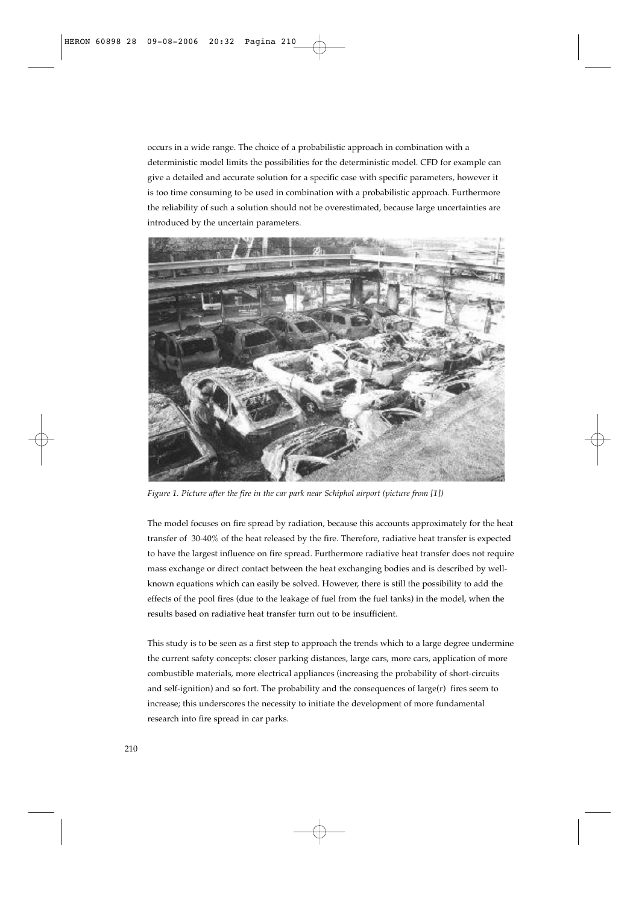occurs in a wide range. The choice of a probabilistic approach in combination with a deterministic model limits the possibilities for the deterministic model. CFD for example can give a detailed and accurate solution for a specific case with specific parameters, however it is too time consuming to be used in combination with a probabilistic approach. Furthermore the reliability of such a solution should not be overestimated, because large uncertainties are introduced by the uncertain parameters.



*Figure 1. Picture after the fire in the car park near Schiphol airport (picture from [1])*

The model focuses on fire spread by radiation, because this accounts approximately for the heat transfer of 30-40% of the heat released by the fire. Therefore, radiative heat transfer is expected to have the largest influence on fire spread. Furthermore radiative heat transfer does not require mass exchange or direct contact between the heat exchanging bodies and is described by wellknown equations which can easily be solved. However, there is still the possibility to add the effects of the pool fires (due to the leakage of fuel from the fuel tanks) in the model, when the results based on radiative heat transfer turn out to be insufficient.

This study is to be seen as a first step to approach the trends which to a large degree undermine the current safety concepts: closer parking distances, large cars, more cars, application of more combustible materials, more electrical appliances (increasing the probability of short-circuits and self-ignition) and so fort. The probability and the consequences of large $(r)$  fires seem to increase; this underscores the necessity to initiate the development of more fundamental research into fire spread in car parks.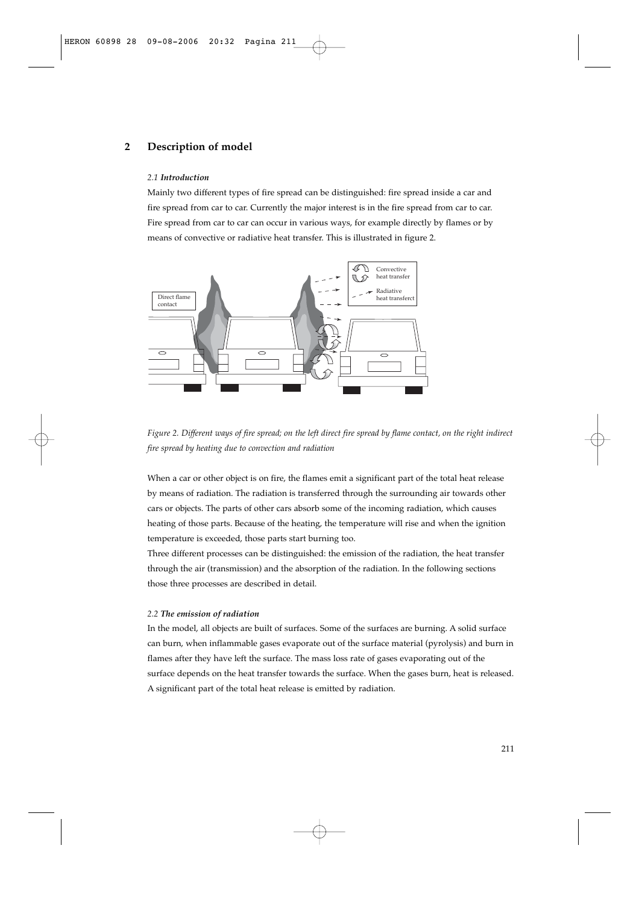# **2 Description of model**

### *2.1 Introduction*

Mainly two different types of fire spread can be distinguished: fire spread inside a car and fire spread from car to car. Currently the major interest is in the fire spread from car to car. Fire spread from car to car can occur in various ways, for example directly by flames or by means of convective or radiative heat transfer. This is illustrated in figure 2.



*Figure 2. Different ways of fire spread; on the left direct fire spread by flame contact, on the right indirect fire spread by heating due to convection and radiation*

When a car or other object is on fire, the flames emit a significant part of the total heat release by means of radiation. The radiation is transferred through the surrounding air towards other cars or objects. The parts of other cars absorb some of the incoming radiation, which causes heating of those parts. Because of the heating, the temperature will rise and when the ignition temperature is exceeded, those parts start burning too.

Three different processes can be distinguished: the emission of the radiation, the heat transfer through the air (transmission) and the absorption of the radiation. In the following sections those three processes are described in detail.

#### *2.2 The emission of radiation*

In the model, all objects are built of surfaces. Some of the surfaces are burning. A solid surface can burn, when inflammable gases evaporate out of the surface material (pyrolysis) and burn in flames after they have left the surface. The mass loss rate of gases evaporating out of the surface depends on the heat transfer towards the surface. When the gases burn, heat is released. A significant part of the total heat release is emitted by radiation.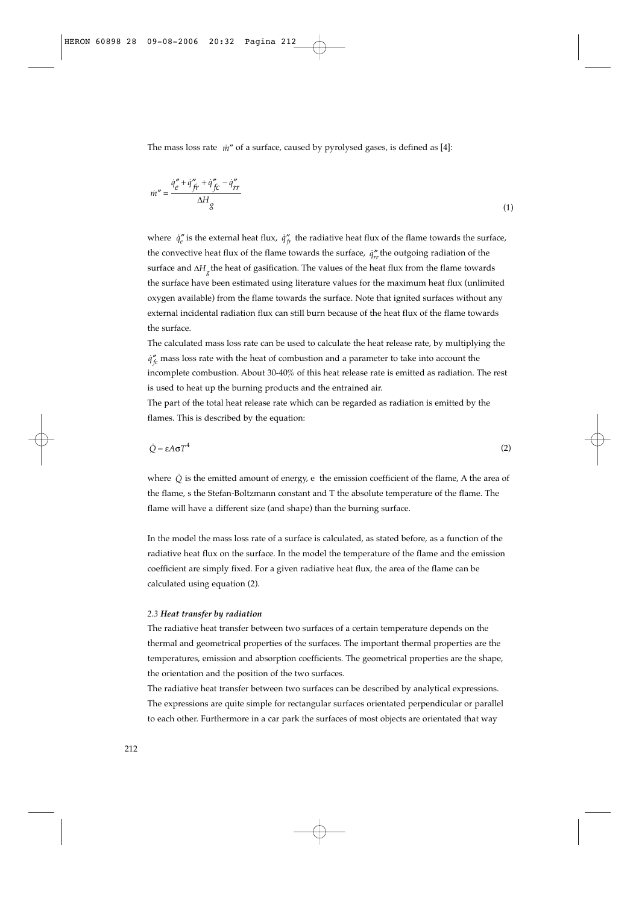The mass loss rate  $\dot{m}''$  of a surface, caused by pyrolysed gases, is defined as [4]:

$$
\dot{m}'' = \frac{\dot{q}_e'' + \dot{q}_{ft}'' + \dot{q}_{fc}'' - \dot{q}_{rr}''}{\Delta H_g} \tag{1}
$$

where  $\dot{q}_e''$  is the external heat flux,  $\dot{q}_f''$  the radiative heat flux of the flame towards the surface, the convective heat flux of the flame towards the surface,  $\dot{q}^{\prime\prime}_{rr}$  the outgoing radiation of the surface and  $\Delta H_{g}$  the heat of gasification. The values of the heat flux from the flame towards the surface have been estimated using literature values for the maximum heat flux (unlimited oxygen available) from the flame towards the surface. Note that ignited surfaces without any external incidental radiation flux can still burn because of the heat flux of the flame towards the surface.

The calculated mass loss rate can be used to calculate the heat release rate, by multiplying the  $\dot{q}^{\prime\prime}_{fc}$  mass loss rate with the heat of combustion and a parameter to take into account the incomplete combustion. About 30-40% of this heat release rate is emitted as radiation. The rest is used to heat up the burning products and the entrained air.

The part of the total heat release rate which can be regarded as radiation is emitted by the flames. This is described by the equation:

$$
\dot{Q} = \varepsilon A \sigma T^4 \tag{2}
$$

where  $\dot{Q}$  is the emitted amount of energy, e the emission coefficient of the flame, A the area of the flame, s the Stefan-Boltzmann constant and T the absolute temperature of the flame. The flame will have a different size (and shape) than the burning surface.

In the model the mass loss rate of a surface is calculated, as stated before, as a function of the radiative heat flux on the surface. In the model the temperature of the flame and the emission coefficient are simply fixed. For a given radiative heat flux, the area of the flame can be calculated using equation (2).

#### *2.3 Heat transfer by radiation*

The radiative heat transfer between two surfaces of a certain temperature depends on the thermal and geometrical properties of the surfaces. The important thermal properties are the temperatures, emission and absorption coefficients. The geometrical properties are the shape, the orientation and the position of the two surfaces.

The radiative heat transfer between two surfaces can be described by analytical expressions. The expressions are quite simple for rectangular surfaces orientated perpendicular or parallel to each other. Furthermore in a car park the surfaces of most objects are orientated that way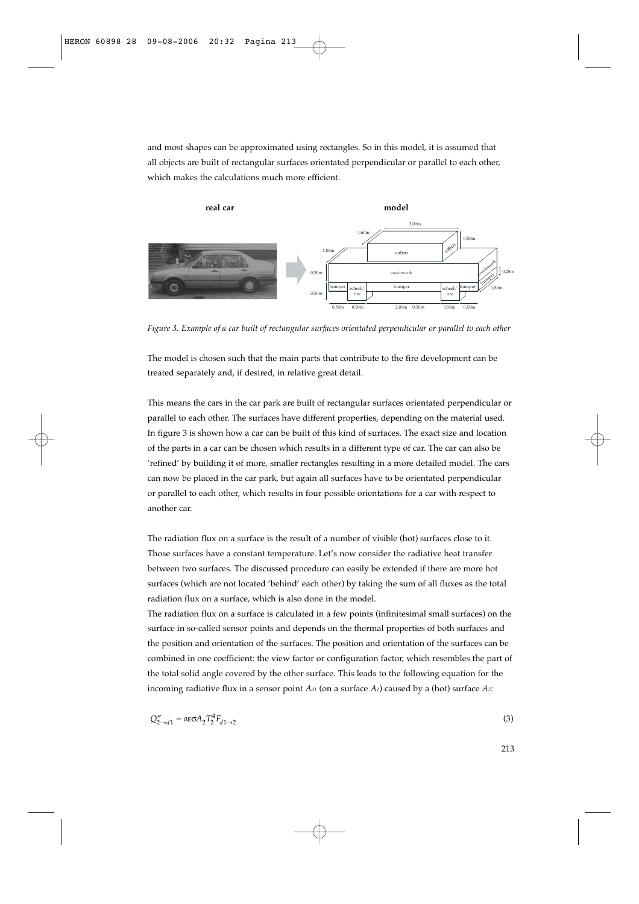and most shapes can be approximated using rectangles. So in this model, it is assumed that all objects are built of rectangular surfaces orientated perpendicular or parallel to each other, which makes the calculations much more efficient.



*Figure 3. Example of a car built of rectangular surfaces orientated perpendicular or parallel to each other*

The model is chosen such that the main parts that contribute to the fire development can be treated separately and, if desired, in relative great detail.

This means the cars in the car park are built of rectangular surfaces orientated perpendicular or parallel to each other. The surfaces have different properties, depending on the material used. In figure 3 is shown how a car can be built of this kind of surfaces. The exact size and location of the parts in a car can be chosen which results in a different type of car. The car can also be 'refined' by building it of more, smaller rectangles resulting in a more detailed model. The cars can now be placed in the car park, but again all surfaces have to be orientated perpendicular or parallel to each other, which results in four possible orientations for a car with respect to another car.

The radiation flux on a surface is the result of a number of visible (hot) surfaces close to it. Those surfaces have a constant temperature. Let's now consider the radiative heat transfer between two surfaces. The discussed procedure can easily be extended if there are more hot surfaces (which are not located 'behind' each other) by taking the sum of all fluxes as the total radiation flux on a surface, which is also done in the model.

The radiation flux on a surface is calculated in a few points (infinitesimal small surfaces) on the surface in so-called sensor points and depends on the thermal properties of both surfaces and the position and orientation of the surfaces. The position and orientation of the surfaces can be combined in one coefficient: the view factor or configuration factor, which resembles the part of the total solid angle covered by the other surface. This leads to the following equation for the incoming radiative flux in a sensor point  $A_{d1}$  (on a surface  $A_1$ ) caused by a (hot) surface  $A_2$ :

$$
Q''_{2\to d1} = a\epsilon\sigma A_2 T_2^4 F_{d1\to 2}
$$
\n<sup>(3)</sup>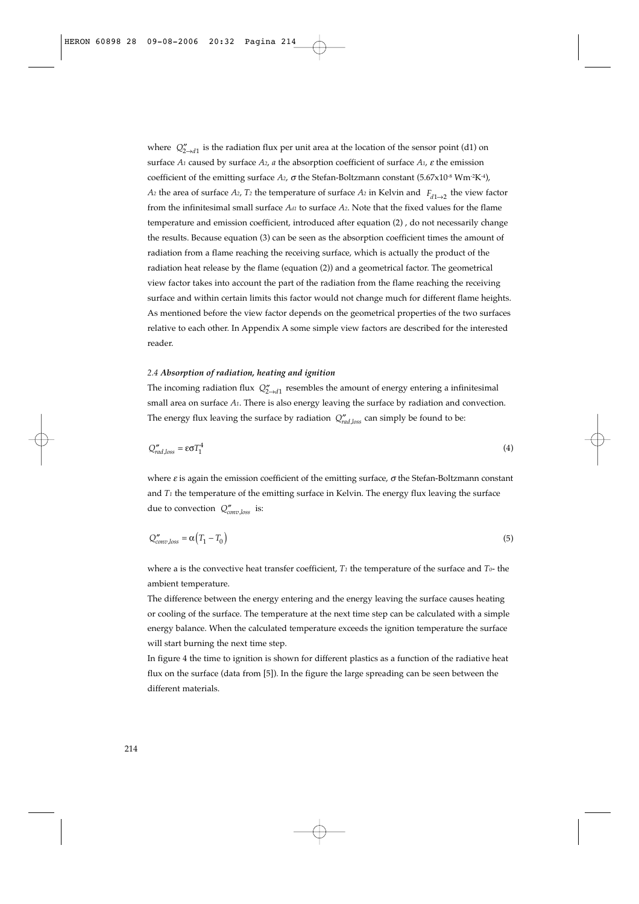where  $Q''_{2 \rightarrow d1}$  is the radiation flux per unit area at the location of the sensor point (d1) on surface *A1* caused by surface *A2*, *a* the absorption coefficient of surface *A1*, <sup>ε</sup> the emission coefficient of the emitting surface *A*<sub>2</sub>, *σ* the Stefan-Boltzmann constant (5.67x10<sup>-8</sup> Wm<sup>-2</sup>K<sup>-4</sup>),  $A_2$  the area of surface  $A_2$ ,  $T_2$  the temperature of surface  $A_2$  in Kelvin and  $F_{d1\rightarrow 2}$  the view factor from the infinitesimal small surface *Ad1* to surface *A2*. Note that the fixed values for the flame temperature and emission coefficient, introduced after equation (2) , do not necessarily change the results. Because equation (3) can be seen as the absorption coefficient times the amount of radiation from a flame reaching the receiving surface, which is actually the product of the radiation heat release by the flame (equation (2)) and a geometrical factor. The geometrical view factor takes into account the part of the radiation from the flame reaching the receiving surface and within certain limits this factor would not change much for different flame heights. As mentioned before the view factor depends on the geometrical properties of the two surfaces relative to each other. In Appendix A some simple view factors are described for the interested reader.

#### *2.4 Absorption of radiation, heating and ignition*

The incoming radiation flux  $Q''_{2\rightarrow d1}$  resembles the amount of energy entering a infinitesimal small area on surface *A1*. There is also energy leaving the surface by radiation and convection. The energy flux leaving the surface by radiation  $Q''_{rad, loss}$  can simply be found to be:

$$
Q''_{rad,loss} = \epsilon \sigma T_1^4 \tag{4}
$$

where  $\varepsilon$  is again the emission coefficient of the emitting surface,  $\sigma$  the Stefan-Boltzmann constant and  $T_1$  the temperature of the emitting surface in Kelvin. The energy flux leaving the surface due to convection  $Q''_{conv,loss}$  is:

$$
Q''_{conv,loss} = \alpha \big( T_1 - T_0 \big) \tag{5}
$$

where a is the convective heat transfer coefficient,  $T_1$  the temperature of the surface and  $T_0$ - the ambient temperature.

The difference between the energy entering and the energy leaving the surface causes heating or cooling of the surface. The temperature at the next time step can be calculated with a simple energy balance. When the calculated temperature exceeds the ignition temperature the surface will start burning the next time step.

In figure 4 the time to ignition is shown for different plastics as a function of the radiative heat flux on the surface (data from [5]). In the figure the large spreading can be seen between the different materials.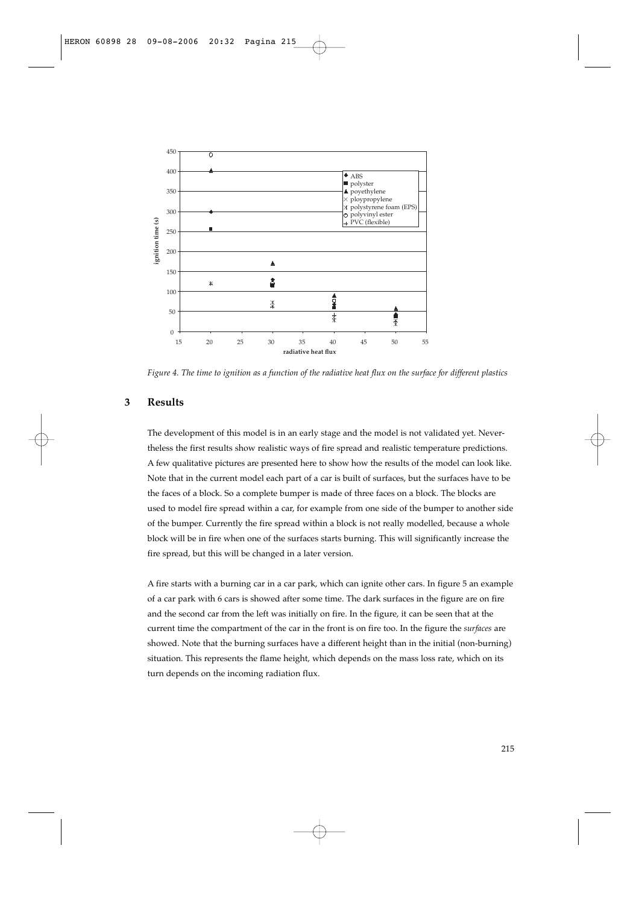

*Figure 4. The time to ignition as a function of the radiative heat flux on the surface for different plastics*

## **3 Results**

The development of this model is in an early stage and the model is not validated yet. Nevertheless the first results show realistic ways of fire spread and realistic temperature predictions. A few qualitative pictures are presented here to show how the results of the model can look like. Note that in the current model each part of a car is built of surfaces, but the surfaces have to be the faces of a block. So a complete bumper is made of three faces on a block. The blocks are used to model fire spread within a car, for example from one side of the bumper to another side of the bumper. Currently the fire spread within a block is not really modelled, because a whole block will be in fire when one of the surfaces starts burning. This will significantly increase the fire spread, but this will be changed in a later version.

A fire starts with a burning car in a car park, which can ignite other cars. In figure 5 an example of a car park with 6 cars is showed after some time. The dark surfaces in the figure are on fire and the second car from the left was initially on fire. In the figure, it can be seen that at the current time the compartment of the car in the front is on fire too. In the figure the *surfaces* are showed. Note that the burning surfaces have a different height than in the initial (non-burning) situation. This represents the flame height, which depends on the mass loss rate, which on its turn depends on the incoming radiation flux.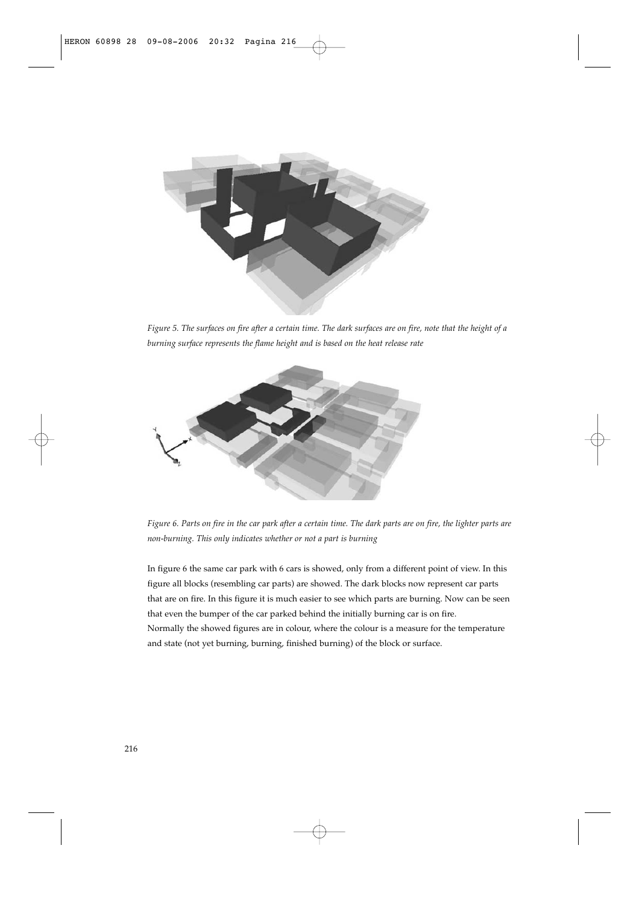

*Figure 5. The surfaces on fire after a certain time. The dark surfaces are on fire, note that the height of a burning surface represents the flame height and is based on the heat release rate*



*Figure 6. Parts on fire in the car park after a certain time. The dark parts are on fire, the lighter parts are non-burning. This only indicates whether or not a part is burning*

In figure 6 the same car park with 6 cars is showed, only from a different point of view. In this figure all blocks (resembling car parts) are showed. The dark blocks now represent car parts that are on fire. In this figure it is much easier to see which parts are burning. Now can be seen that even the bumper of the car parked behind the initially burning car is on fire. Normally the showed figures are in colour, where the colour is a measure for the temperature and state (not yet burning, burning, finished burning) of the block or surface.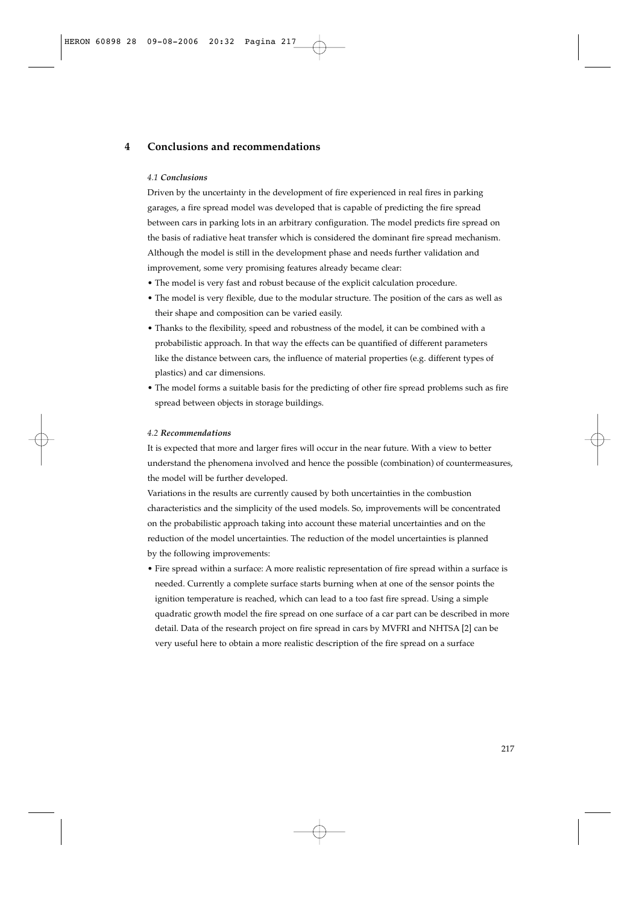# **4 Conclusions and recommendations**

#### *4.1 Conclusions*

Driven by the uncertainty in the development of fire experienced in real fires in parking garages, a fire spread model was developed that is capable of predicting the fire spread between cars in parking lots in an arbitrary configuration. The model predicts fire spread on the basis of radiative heat transfer which is considered the dominant fire spread mechanism. Although the model is still in the development phase and needs further validation and improvement, some very promising features already became clear:

- The model is very fast and robust because of the explicit calculation procedure.
- The model is very flexible, due to the modular structure. The position of the cars as well as their shape and composition can be varied easily.
- Thanks to the flexibility, speed and robustness of the model, it can be combined with a probabilistic approach. In that way the effects can be quantified of different parameters like the distance between cars, the influence of material properties (e.g. different types of plastics) and car dimensions.
- The model forms a suitable basis for the predicting of other fire spread problems such as fire spread between objects in storage buildings.

## *4.2 Recommendations*

It is expected that more and larger fires will occur in the near future. With a view to better understand the phenomena involved and hence the possible (combination) of countermeasures, the model will be further developed.

Variations in the results are currently caused by both uncertainties in the combustion characteristics and the simplicity of the used models. So, improvements will be concentrated on the probabilistic approach taking into account these material uncertainties and on the reduction of the model uncertainties. The reduction of the model uncertainties is planned by the following improvements:

• Fire spread within a surface: A more realistic representation of fire spread within a surface is needed. Currently a complete surface starts burning when at one of the sensor points the ignition temperature is reached, which can lead to a too fast fire spread. Using a simple quadratic growth model the fire spread on one surface of a car part can be described in more detail. Data of the research project on fire spread in cars by MVFRI and NHTSA [2] can be very useful here to obtain a more realistic description of the fire spread on a surface